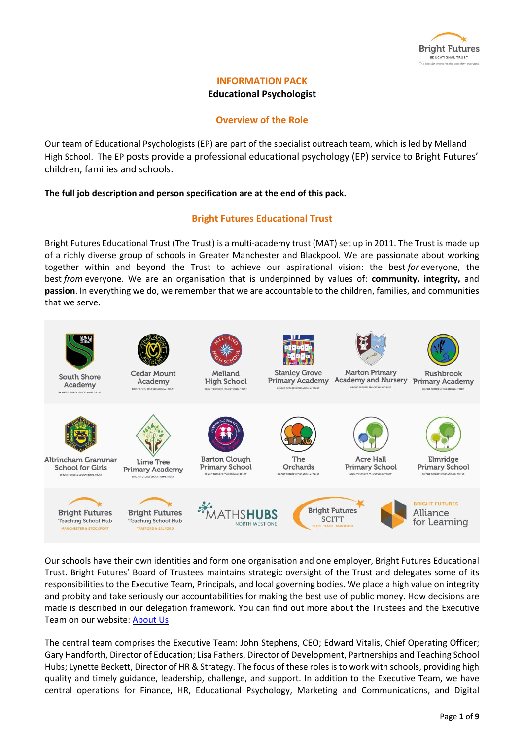

# **INFORMATION PACK Educational Psychologist**

# **Overview of the Role**

Our team of Educational Psychologists (EP) are part of the specialist outreach team, which is led by Melland High School. The EP posts provide a professional educational psychology (EP) service to Bright Futures' children, families and schools.

## **The full job description and person specification are at the end of this pack.**

## **Bright Futures Educational Trust**

Bright Futures Educational Trust (The Trust) is a multi-academy trust (MAT) set up in 2011. The Trust is made up of a richly diverse group of schools in Greater Manchester and Blackpool. We are passionate about working together within and beyond the Trust to achieve our aspirational vision: the best *for* everyone, the best *from* everyone. We are an organisation that is underpinned by values of: **community, integrity,** and **passion**. In everything we do, we remember that we are accountable to the children, families, and communities that we serve.



Our schools have their own identities and form one organisation and one employer, Bright Futures Educational Trust. Bright Futures' Board of Trustees maintains strategic oversight of the Trust and delegates some of its responsibilities to the Executive Team, Principals, and local governing bodies. We place a high value on integrity and probity and take seriously our accountabilities for making the best use of public money. How decisions are made is described in our delegation framework. You can find out more about the Trustees and the Executive Team on our website: [About](https://www.bright-futures.co.uk/about-us/) Us

The central team comprises the Executive Team: John Stephens, CEO; Edward Vitalis, Chief Operating Officer; Gary Handforth, Director of Education; Lisa Fathers, Director of Development, Partnerships and Teaching School Hubs; Lynette Beckett, Director of HR & Strategy. The focus of these rolesisto work with schools, providing high quality and timely guidance, leadership, challenge, and support. In addition to the Executive Team, we have central operations for Finance, HR, Educational Psychology, Marketing and Communications, and Digital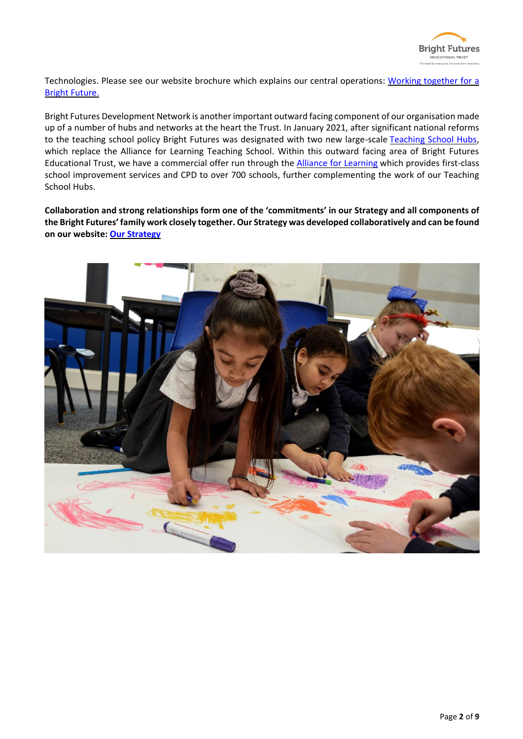

Technologies. Please see our website brochure which explains our central operations: Working [together](https://www.bright-futures.co.uk/wp-content/uploads/2021/12/Why-Join-Bright-Futures.pdf) for a Bright [Future.](https://www.bright-futures.co.uk/wp-content/uploads/2021/12/Why-Join-Bright-Futures.pdf)

Bright Futures Development Network is another important outward facing component of our organisation made up of a number of hubs and networks at the heart the Trust. In January 2021, after significant national reforms to the teaching school policy Bright Futures was designated with two new large-scale Teaching [School Hubs,](https://tsh.bright-futures.co.uk/) which replace the Alliance for Learning Teaching School. Within this outward facing area of Bright Futures Educational Trust, we have a commercial offer run through the [Alliance for Learning](http://allianceforlearning.co.uk/) which provides first-class school improvement services and CPD to over 700 schools, further complementing the work of our Teaching School Hubs.

**Collaboration and strong relationships form one of the 'commitments' in our Strategy and all components of the Bright Futures' family work closely together. Our Strategy was developed collaboratively and can be found on our website: Our [Strategy](https://www.bright-futures.co.uk/about-us/our-strategy/)**

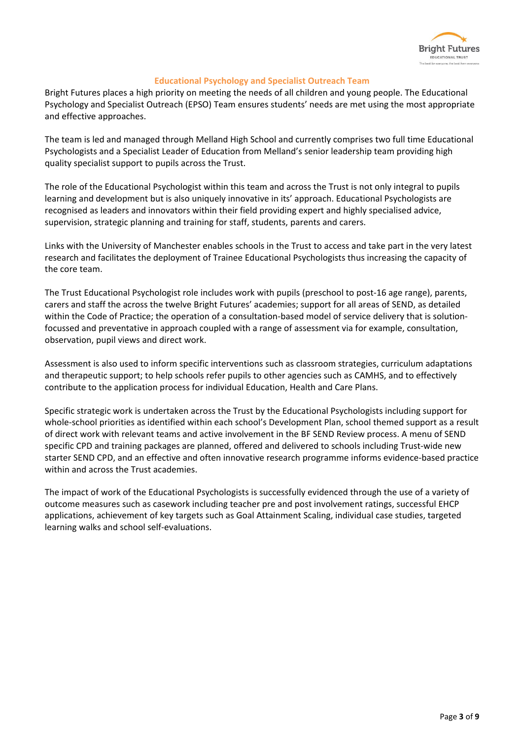

## **Educational Psychology and Specialist Outreach Team**

Bright Futures places a high priority on meeting the needs of all children and young people. The Educational Psychology and Specialist Outreach (EPSO) Team ensures students' needs are met using the most appropriate and effective approaches.

The team is led and managed through Melland High School and currently comprises two full time Educational Psychologists and a Specialist Leader of Education from Melland's senior leadership team providing high quality specialist support to pupils across the Trust.

The role of the Educational Psychologist within this team and across the Trust is not only integral to pupils learning and development but is also uniquely innovative in its' approach. Educational Psychologists are recognised as leaders and innovators within their field providing expert and highly specialised advice, supervision, strategic planning and training for staff, students, parents and carers.

Links with the University of Manchester enables schools in the Trust to access and take part in the very latest research and facilitates the deployment of Trainee Educational Psychologists thus increasing the capacity of the core team.

The Trust Educational Psychologist role includes work with pupils (preschool to post-16 age range), parents, carers and staff the across the twelve Bright Futures' academies; support for all areas of SEND, as detailed within the Code of Practice; the operation of a consultation-based model of service delivery that is solutionfocussed and preventative in approach coupled with a range of assessment via for example, consultation, observation, pupil views and direct work.

Assessment is also used to inform specific interventions such as classroom strategies, curriculum adaptations and therapeutic support; to help schools refer pupils to other agencies such as CAMHS, and to effectively contribute to the application process for individual Education, Health and Care Plans.

Specific strategic work is undertaken across the Trust by the Educational Psychologists including support for whole-school priorities as identified within each school's Development Plan, school themed support as a result of direct work with relevant teams and active involvement in the BF SEND Review process. A menu of SEND specific CPD and training packages are planned, offered and delivered to schools including Trust-wide new starter SEND CPD, and an effective and often innovative research programme informs evidence-based practice within and across the Trust academies.

The impact of work of the Educational Psychologists is successfully evidenced through the use of a variety of outcome measures such as casework including teacher pre and post involvement ratings, successful EHCP applications, achievement of key targets such as Goal Attainment Scaling, individual case studies, targeted learning walks and school self-evaluations.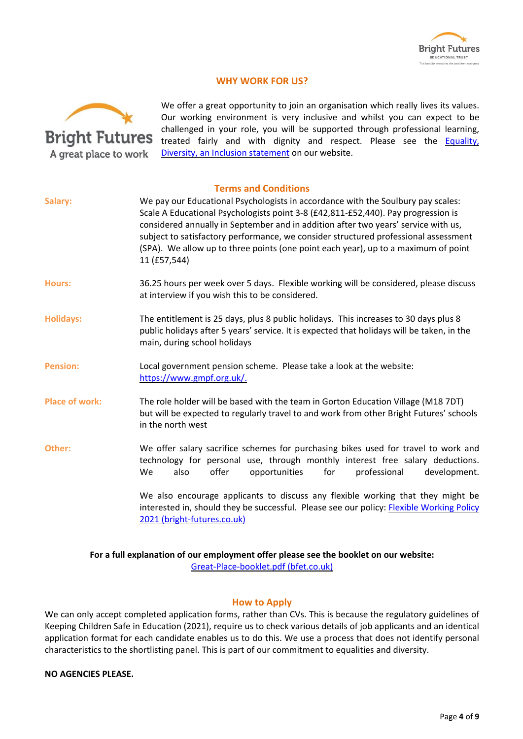

## **WHY WORK FOR US?**



We offer a great opportunity to join an organisation which really lives its values. Our working environment is very inclusive and whilst you can expect to be challenged in your role, you will be supported through professional learning, treated fairly and with dignity and respect. Please see the **Equality**, Diversity, an Inclusion [statement](https://www.bright-futures.co.uk/join-us/job-vacancies/) on our website.

| Salary:               | <b>Terms and Conditions</b><br>We pay our Educational Psychologists in accordance with the Soulbury pay scales:<br>Scale A Educational Psychologists point 3-8 (£42,811-£52,440). Pay progression is<br>considered annually in September and in addition after two years' service with us,<br>subject to satisfactory performance, we consider structured professional assessment<br>(SPA). We allow up to three points (one point each year), up to a maximum of point<br>11 (£57,544) |  |  |  |
|-----------------------|-----------------------------------------------------------------------------------------------------------------------------------------------------------------------------------------------------------------------------------------------------------------------------------------------------------------------------------------------------------------------------------------------------------------------------------------------------------------------------------------|--|--|--|
| <b>Hours:</b>         | 36.25 hours per week over 5 days. Flexible working will be considered, please discuss<br>at interview if you wish this to be considered.                                                                                                                                                                                                                                                                                                                                                |  |  |  |
| <b>Holidays:</b>      | The entitlement is 25 days, plus 8 public holidays. This increases to 30 days plus 8<br>public holidays after 5 years' service. It is expected that holidays will be taken, in the<br>main, during school holidays                                                                                                                                                                                                                                                                      |  |  |  |
| <b>Pension:</b>       | Local government pension scheme. Please take a look at the website:<br>https://www.gmpf.org.uk/.                                                                                                                                                                                                                                                                                                                                                                                        |  |  |  |
| <b>Place of work:</b> | The role holder will be based with the team in Gorton Education Village (M18 7DT)<br>but will be expected to regularly travel to and work from other Bright Futures' schools<br>in the north west                                                                                                                                                                                                                                                                                       |  |  |  |
| Other:                | We offer salary sacrifice schemes for purchasing bikes used for travel to work and<br>technology for personal use, through monthly interest free salary deductions.<br>also<br>offer<br>for<br>We<br>opportunities<br>professional<br>development.                                                                                                                                                                                                                                      |  |  |  |
|                       | We also encourage applicants to discuss any flexible working that they might be<br>interested in, should they be successful. Please see our policy: Flexible Working Policy<br>2021 (bright-futures.co.uk)                                                                                                                                                                                                                                                                              |  |  |  |

## **For a full explanation of our employment offer please see the booklet on our website:** [Great-Place-booklet.pdf](http://bfet.co.uk/wp-content/uploads/2021/06/Great-Place-booklet.pdf) (bfet.co.uk)

## **How to Apply**

We can only accept completed application forms, rather than CVs. This is because the regulatory guidelines of Keeping Children Safe in Education (2021), require us to check various details of job applicants and an identical application format for each candidate enables us to do this. We use a process that does not identify personal characteristics to the shortlisting panel. This is part of our commitment to equalities and diversity.

## **NO AGENCIES PLEASE.**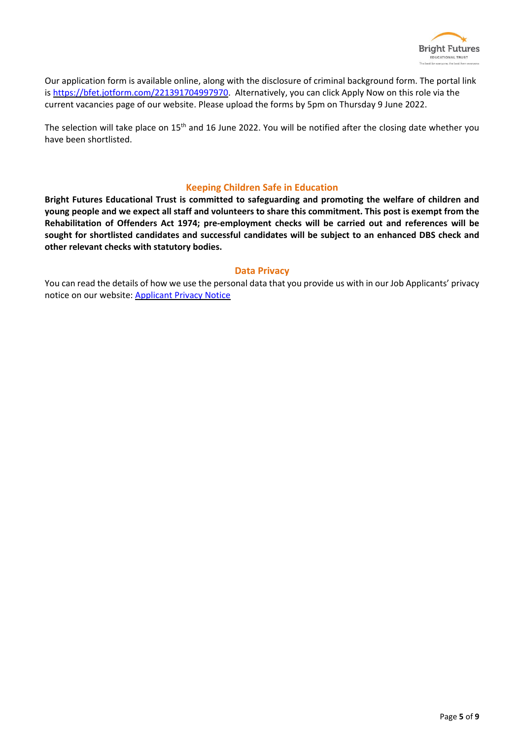

Our application form is available online, along with the disclosure of criminal background form. The portal link is [https://bfet.jotform.com/221391704997970.](https://bfet.jotform.com/221391704997970) Alternatively, you can click Apply Now on this role via the current vacancies page of our website. Please upload the forms by 5pm on Thursday 9 June 2022.

The selection will take place on 15<sup>th</sup> and 16 June 2022. You will be notified after the closing date whether you have been shortlisted.

## **Keeping Children Safe in Education**

**Bright Futures Educational Trust is committed to safeguarding and promoting the welfare of children and** young people and we expect all staff and volunteers to share this commitment. This post is exempt from the **Rehabilitation of Offenders Act 1974; pre-employment checks will be carried out and references will be sought for shortlisted candidates and successful candidates will be subject to an enhanced DBS check and other relevant checks with statutory bodies.**

## **Data Privacy**

You can read the details of how we use the personal data that you provide us with in our Job Applicants' privacy notice on our website: [Applicant](https://www.bright-futures.co.uk/wp-content/uploads/2021/11/BFET-Applicant-privacy-notice-002.pdf) Privacy Notice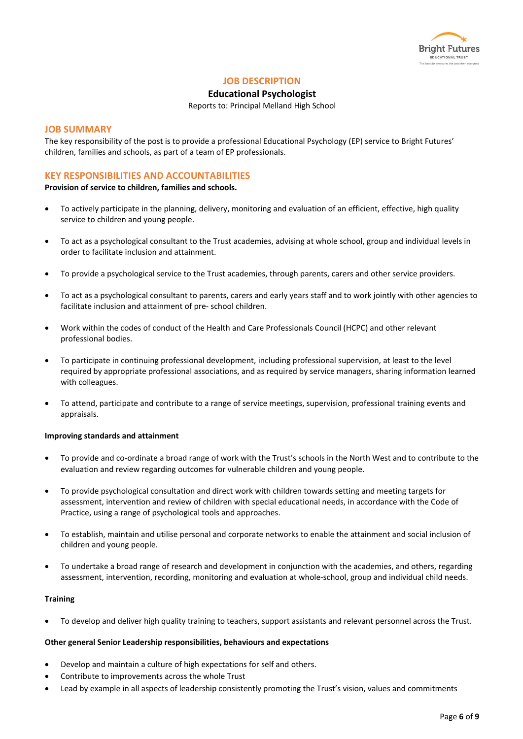

## **JOB DESCRIPTION**

## **Educational Psychologist**

Reports to: Principal Melland High School

#### **JOB SUMMARY**

The key responsibility of the post is to provide a professional Educational Psychology (EP) service to Bright Futures' children, families and schools, as part of a team of EP professionals.

## **KEY RESPONSIBILITIES AND ACCOUNTABILITIES**

**Provision of service to children, families and schools.**

- To actively participate in the planning, delivery, monitoring and evaluation of an efficient, effective, high quality service to children and young people.
- To act as a psychological consultant to the Trust academies, advising at whole school, group and individual levels in order to facilitate inclusion and attainment.
- To provide a psychological service to the Trust academies, through parents, carers and other service providers.
- To act as a psychological consultant to parents, carers and early years staff and to work jointly with other agencies to facilitate inclusion and attainment of pre- school children.
- Work within the codes of conduct of the Health and Care Professionals Council (HCPC) and other relevant professional bodies.
- To participate in continuing professional development, including professional supervision, at least to the level required by appropriate professional associations, and as required by service managers, sharing information learned with colleagues.
- To attend, participate and contribute to a range of service meetings, supervision, professional training events and appraisals.

#### **Improving standards and attainment**

- To provide and co-ordinate a broad range of work with the Trust's schools in the North West and to contribute to the evaluation and review regarding outcomes for vulnerable children and young people.
- To provide psychological consultation and direct work with children towards setting and meeting targets for assessment, intervention and review of children with special educational needs, in accordance with the Code of Practice, using a range of psychological tools and approaches.
- To establish, maintain and utilise personal and corporate networks to enable the attainment and social inclusion of children and young people.
- To undertake a broad range of research and development in conjunction with the academies, and others, regarding assessment, intervention, recording, monitoring and evaluation at whole-school, group and individual child needs.

#### **Training**

• To develop and deliver high quality training to teachers, support assistants and relevant personnel across the Trust.

#### **Other general Senior Leadership responsibilities, behaviours and expectations**

- Develop and maintain a culture of high expectations for self and others.
- Contribute to improvements across the whole Trust
- Lead by example in all aspects of leadership consistently promoting the Trust's vision, values and commitments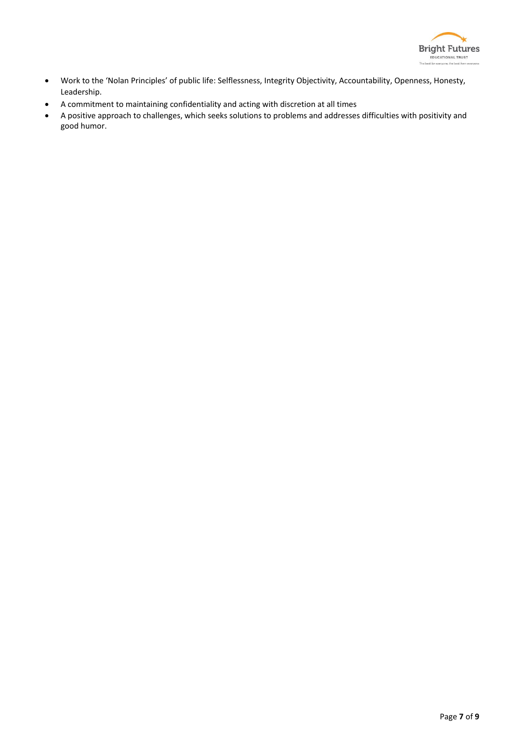

- Work to the 'Nolan Principles' of public life: Selflessness, Integrity Objectivity, Accountability, Openness, Honesty, Leadership.
- A commitment to maintaining confidentiality and acting with discretion at all times
- A positive approach to challenges, which seeks solutions to problems and addresses difficulties with positivity and good humor.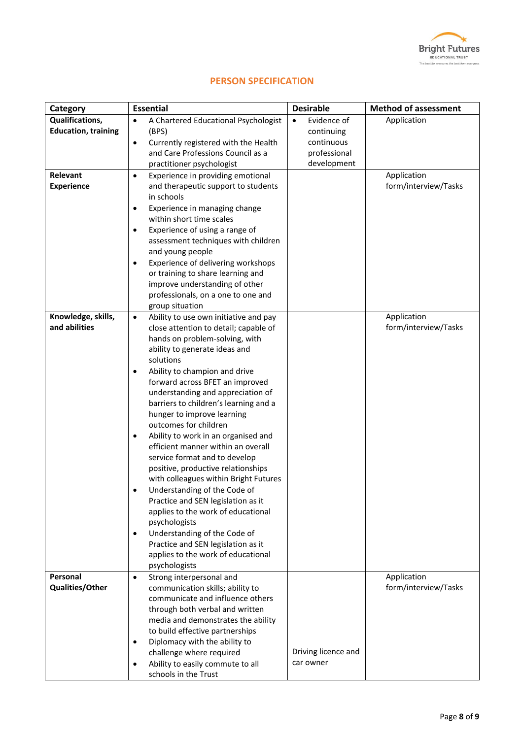

|  | <b>PERSON SPECIFICATION</b> |
|--|-----------------------------|
|  |                             |

| Category                   | <b>Essential</b>                                                            | <b>Desirable</b>         | <b>Method of assessment</b> |
|----------------------------|-----------------------------------------------------------------------------|--------------------------|-----------------------------|
| Qualifications,            | A Chartered Educational Psychologist<br>$\bullet$                           | Evidence of<br>$\bullet$ | Application                 |
| <b>Education, training</b> | (BPS)                                                                       | continuing               |                             |
|                            | Currently registered with the Health<br>٠                                   | continuous               |                             |
|                            | and Care Professions Council as a                                           | professional             |                             |
|                            | practitioner psychologist                                                   | development              |                             |
| Relevant                   | Experience in providing emotional<br>$\bullet$                              |                          | Application                 |
| <b>Experience</b>          | and therapeutic support to students                                         |                          | form/interview/Tasks        |
|                            | in schools                                                                  |                          |                             |
|                            | Experience in managing change<br>$\bullet$<br>within short time scales      |                          |                             |
|                            | Experience of using a range of<br>$\bullet$                                 |                          |                             |
|                            | assessment techniques with children                                         |                          |                             |
|                            | and young people                                                            |                          |                             |
|                            | Experience of delivering workshops<br>٠                                     |                          |                             |
|                            | or training to share learning and                                           |                          |                             |
|                            | improve understanding of other                                              |                          |                             |
|                            | professionals, on a one to one and                                          |                          |                             |
|                            | group situation                                                             |                          |                             |
| Knowledge, skills,         | Ability to use own initiative and pay<br>$\bullet$                          |                          | Application                 |
| and abilities              | close attention to detail; capable of                                       |                          | form/interview/Tasks        |
|                            | hands on problem-solving, with<br>ability to generate ideas and             |                          |                             |
|                            | solutions                                                                   |                          |                             |
|                            | Ability to champion and drive<br>٠                                          |                          |                             |
|                            | forward across BFET an improved                                             |                          |                             |
|                            | understanding and appreciation of                                           |                          |                             |
|                            | barriers to children's learning and a                                       |                          |                             |
|                            | hunger to improve learning                                                  |                          |                             |
|                            | outcomes for children                                                       |                          |                             |
|                            | Ability to work in an organised and<br>٠                                    |                          |                             |
|                            | efficient manner within an overall                                          |                          |                             |
|                            | service format and to develop                                               |                          |                             |
|                            | positive, productive relationships<br>with colleagues within Bright Futures |                          |                             |
|                            | Understanding of the Code of                                                |                          |                             |
|                            | Practice and SEN legislation as it                                          |                          |                             |
|                            | applies to the work of educational                                          |                          |                             |
|                            | psychologists                                                               |                          |                             |
|                            | Understanding of the Code of<br>$\bullet$                                   |                          |                             |
|                            | Practice and SEN legislation as it                                          |                          |                             |
|                            | applies to the work of educational                                          |                          |                             |
|                            | psychologists                                                               |                          |                             |
| Personal                   | Strong interpersonal and<br>$\bullet$                                       |                          | Application                 |
| <b>Qualities/Other</b>     | communication skills; ability to<br>communicate and influence others        |                          | form/interview/Tasks        |
|                            | through both verbal and written                                             |                          |                             |
|                            | media and demonstrates the ability                                          |                          |                             |
|                            | to build effective partnerships                                             |                          |                             |
|                            | Diplomacy with the ability to<br>٠                                          |                          |                             |
|                            | challenge where required                                                    | Driving licence and      |                             |
|                            | Ability to easily commute to all<br>٠                                       | car owner                |                             |
|                            | schools in the Trust                                                        |                          |                             |